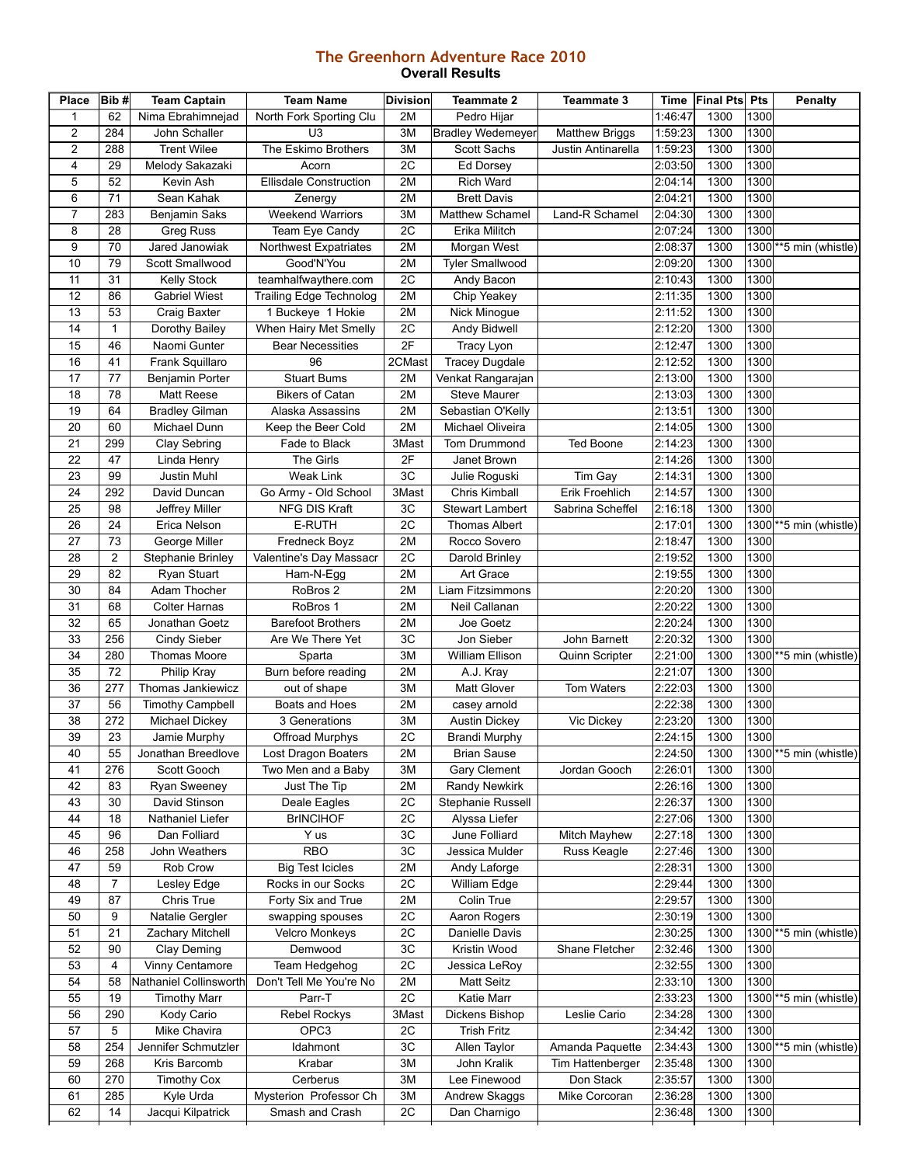## **The Greenhorn Adventure Race 2010 Overall Results**

| Place        | Bib#                    | <b>Team Captain</b>      | <b>Team Name</b>               | <b>Division</b> | <b>Teammate 2</b>        | <b>Teammate 3</b>     | Time    | <b>Final Pts</b> Pts |      | <b>Penalty</b>                       |
|--------------|-------------------------|--------------------------|--------------------------------|-----------------|--------------------------|-----------------------|---------|----------------------|------|--------------------------------------|
| $\mathbf{1}$ | 62                      | Nima Ebrahimnejad        | North Fork Sporting Clu        | 2M              | Pedro Hijar              |                       | 1:46:47 | 1300                 | 1300 |                                      |
| 2            | 284                     | John Schaller            | U <sub>3</sub>                 | 3M              | <b>Bradley Wedemeyer</b> | <b>Matthew Briggs</b> | 1:59:23 | 1300                 | 1300 |                                      |
| 2            | 288                     | <b>Trent Wilee</b>       | The Eskimo Brothers            | 3M              | Scott Sachs              | Justin Antinarella    | 1:59:23 | 1300                 | 1300 |                                      |
| 4            | 29                      | Melody Sakazaki          | Acorn                          | 2C              | Ed Dorsey                |                       | 2:03:50 | 1300                 | 1300 |                                      |
| 5            | 52                      | Kevin Ash                | Ellisdale Construction         | 2M              | <b>Rich Ward</b>         |                       | 2:04:14 | 1300                 | 1300 |                                      |
| 6            | 71                      | Sean Kahak               | Zenergy                        | 2M              | <b>Brett Davis</b>       |                       | 2:04:21 | 1300                 | 1300 |                                      |
| 7            | 283                     | Benjamin Saks            | <b>Weekend Warriors</b>        | 3M              | Matthew Schamel          | Land-R Schamel        | 2:04:30 | 1300                 | 1300 |                                      |
| 8            | 28                      | <b>Greg Russ</b>         | Team Eye Candy                 | 2C              | Erika Militch            |                       | 2:07:24 | 1300                 | 1300 |                                      |
| 9            | 70                      | Jared Janowiak           | Northwest Expatriates          | 2M              | Morgan West              |                       | 2:08:37 | 1300                 |      | $1300$ <sup>**</sup> 5 min (whistle) |
| 10           | 79                      | Scott Smallwood          | Good'N'You                     | 2M              | <b>Tyler Smallwood</b>   |                       | 2:09:20 | 1300                 | 1300 |                                      |
| 11           | 31                      | <b>Kelly Stock</b>       | teamhalfwaythere.com           | 2C              | Andy Bacon               |                       | 2:10:43 | 1300                 | 1300 |                                      |
| 12           | 86                      | <b>Gabriel Wiest</b>     | <b>Trailing Edge Technolog</b> | 2M              | Chip Yeakey              |                       | 2:11:35 | 1300                 | 1300 |                                      |
| 13           | 53                      | Craig Baxter             | 1 Buckeye 1 Hokie              | 2M              | Nick Minogue             |                       | 2:11:52 | 1300                 | 1300 |                                      |
| 14           | $\mathbf{1}$            | Dorothy Bailey           | When Hairy Met Smelly          | 2C              | <b>Andy Bidwell</b>      |                       | 2:12:20 | 1300                 | 1300 |                                      |
| 15           | 46                      | Naomi Gunter             | <b>Bear Necessities</b>        | 2F              | <b>Tracy Lyon</b>        |                       | 2:12:47 | 1300                 | 1300 |                                      |
| 16           | 41                      | Frank Squillaro          | 96                             | 2CMast          | <b>Tracey Dugdale</b>    |                       | 2:12:52 | 1300                 | 1300 |                                      |
| 17           | 77                      | Benjamin Porter          | <b>Stuart Bums</b>             | 2M              | Venkat Rangarajan        |                       | 2:13:00 | 1300                 | 1300 |                                      |
| 18           | 78                      | <b>Matt Reese</b>        | <b>Bikers of Catan</b>         | 2M              | <b>Steve Maurer</b>      |                       | 2:13:03 | 1300                 | 1300 |                                      |
| 19           | 64                      | <b>Bradley Gilman</b>    | Alaska Assassins               | 2M              | Sebastian O'Kelly        |                       | 2:13:51 | 1300                 | 1300 |                                      |
| 20           | 60                      | Michael Dunn             | Keep the Beer Cold             | 2M              | Michael Oliveira         |                       | 2:14:05 | 1300                 | 1300 |                                      |
| 21           | 299                     | Clay Sebring             | Fade to Black                  | 3Mast           | Tom Drummond             | <b>Ted Boone</b>      | 2:14:23 | 1300                 | 1300 |                                      |
| 22           | 47                      | Linda Henry              | The Girls                      | 2F              | Janet Brown              |                       | 2:14:26 | 1300                 | 1300 |                                      |
| 23           | 99                      | <b>Justin Muhl</b>       | <b>Weak Link</b>               | 3C              | Julie Roguski            | Tim Gay               | 2:14:31 | 1300                 | 1300 |                                      |
| 24           | 292                     | David Duncan             | Go Army - Old School           | 3Mast           | Chris Kimball            | Erik Froehlich        | 2:14:57 | 1300                 | 1300 |                                      |
| 25           | 98                      |                          | NFG DIS Kraft                  | 3C              | <b>Stewart Lambert</b>   | Sabrina Scheffel      | 2:16:18 | 1300                 | 1300 |                                      |
| 26           | 24                      | Jeffrey Miller           |                                | 2C              |                          |                       |         | 1300                 |      |                                      |
|              |                         | Erica Nelson             | E-RUTH                         |                 | <b>Thomas Albert</b>     |                       | 2:17:01 |                      |      | 1300 ** 5 min (whistle)              |
| 27           | 73                      | George Miller            | Fredneck Boyz                  | 2M              | Rocco Sovero             |                       | 2:18:47 | 1300                 | 1300 |                                      |
| 28           | $\overline{\mathbf{c}}$ | <b>Stephanie Brinley</b> | Valentine's Day Massacr        | 2C              | Darold Brinley           |                       | 2:19:52 | 1300                 | 1300 |                                      |
| 29           | 82                      | Ryan Stuart              | Ham-N-Egg                      | 2M              | Art Grace                |                       | 2:19:55 | 1300                 | 1300 |                                      |
| 30           | 84                      | Adam Thocher             | RoBros 2                       | 2M              | Liam Fitzsimmons         |                       | 2:20:20 | 1300                 | 1300 |                                      |
| 31           | 68                      | <b>Colter Harnas</b>     | RoBros 1                       | 2M              | Neil Callanan            |                       | 2:20:22 | 1300                 | 1300 |                                      |
| 32           | 65                      | Jonathan Goetz           | <b>Barefoot Brothers</b>       | 2M              | Joe Goetz                |                       | 2:20:24 | 1300                 | 1300 |                                      |
| 33           | 256                     | Cindy Sieber             | Are We There Yet               | 3C              | Jon Sieber               | John Barnett          | 2:20:32 | 1300                 | 1300 |                                      |
| 34           | 280                     | <b>Thomas Moore</b>      | Sparta                         | 3M              | William Ellison          | Quinn Scripter        | 2:21:00 | 1300                 |      | 1300 ** 5 min (whistle)              |
| 35           | 72                      | Philip Kray              | Burn before reading            | 2M              | A.J. Kray                |                       | 2:21:07 | 1300                 | 1300 |                                      |
| 36           | 277                     | Thomas Jankiewicz        | out of shape                   | 3M              | Matt Glover              | Tom Waters            | 2:22:03 | 1300                 | 1300 |                                      |
| 37           | 56                      | <b>Timothy Campbell</b>  | Boats and Hoes                 | 2M              | casey arnold             |                       | 2:22:38 | 1300                 | 1300 |                                      |
| 38           | 272                     | Michael Dickey           | 3 Generations                  | 3M              | <b>Austin Dickey</b>     | Vic Dickey            | 2:23:20 | 1300                 | 1300 |                                      |
| 39           | 23                      | Jamie Murphy             | Offroad Murphys                | 2C              | <b>Brandi Murphy</b>     |                       | 2:24:15 | 1300                 | 1300 |                                      |
| 40           | 55                      | Jonathan Breedlove       | Lost Dragon Boaters            | 2M              | <b>Brian Sause</b>       |                       | 2:24:50 | 1300                 |      | 1300 <sup>**</sup> 5 min (whistle)   |
| 41           | 276                     | Scott Gooch              | Two Men and a Baby             | ЗM              | <b>Gary Clement</b>      | Jordan Gooch          | 2:26:01 | 1300                 | 1300 |                                      |
| 42           | 83                      | <b>Ryan Sweeney</b>      | Just The Tip                   | 2M              | <b>Randy Newkirk</b>     |                       | 2:26:16 | 1300                 | 1300 |                                      |
| 43           | 30                      | David Stinson            | Deale Eagles                   | 2C              | Stephanie Russell        |                       | 2:26:37 | 1300                 | 1300 |                                      |
| 44           | 18                      | Nathaniel Liefer         | <b>BrINCIHOF</b>               | 2C              | Alyssa Liefer            |                       | 2:27:06 | 1300                 | 1300 |                                      |
| 45           | 96                      | Dan Folliard             | Y us                           | 3C              | June Folliard            | Mitch Mayhew          | 2:27:18 | 1300                 | 1300 |                                      |
| 46           | 258                     | John Weathers            | <b>RBO</b>                     | 3C              | Jessica Mulder           | Russ Keagle           | 2:27:46 | 1300                 | 1300 |                                      |
| 47           | 59                      | Rob Crow                 | <b>Big Test Icicles</b>        | 2M              | Andy Laforge             |                       | 2:28:31 | 1300                 | 1300 |                                      |
| 48           | $\overline{7}$          | Lesley Edge              | Rocks in our Socks             | 2C              | William Edge             |                       | 2:29:44 | 1300                 | 1300 |                                      |
| 49           | 87                      | Chris True               | Forty Six and True             | 2M              | Colin True               |                       | 2:29:57 | 1300                 | 1300 |                                      |
| 50           | 9                       | Natalie Gergler          | swapping spouses               | 2C              | Aaron Rogers             |                       | 2:30:19 | 1300                 | 1300 |                                      |
| 51           | 21                      | Zachary Mitchell         | <b>Velcro Monkeys</b>          | 2C              | Danielle Davis           |                       | 2:30:25 | 1300                 |      | 1300 ** 5 min (whistle)              |
| 52           | 90                      | Clay Deming              | Demwood                        | 3C              | Kristin Wood             | Shane Fletcher        | 2:32:46 | 1300                 | 1300 |                                      |
| 53           | $\overline{4}$          | Vinny Centamore          | Team Hedgehog                  | 2C              | Jessica LeRoy            |                       | 2:32:55 | 1300                 | 1300 |                                      |
| 54           | 58                      | Nathaniel Collinsworth   | Don't Tell Me You're No        | 2M              | Matt Seitz               |                       | 2:33:10 | 1300                 | 1300 |                                      |
| 55           | 19                      | <b>Timothy Marr</b>      | Parr-T                         | 2C              | Katie Marr               |                       | 2:33:23 | 1300                 |      | $1300$ <sup>**</sup> 5 min (whistle) |
| 56           | 290                     | Kody Cario               | Rebel Rockys                   | 3Mast           | Dickens Bishop           | Leslie Cario          | 2:34:28 | 1300                 | 1300 |                                      |
| 57           | 5                       | Mike Chavira             | OPC3                           | 2C              | <b>Trish Fritz</b>       |                       | 2:34:42 | 1300                 | 1300 |                                      |
| 58           | 254                     | Jennifer Schmutzler      | Idahmont                       | 3C              | Allen Taylor             | Amanda Paquette       | 2:34:43 | 1300                 |      | 1300 ** 5 min (whistle)              |
| 59           | 268                     | Kris Barcomb             | Krabar                         | 3M              | John Kralik              | Tim Hattenberger      | 2:35:48 | 1300                 | 1300 |                                      |
| 60           | 270                     | <b>Timothy Cox</b>       | Cerberus                       | ЗM              | Lee Finewood             | Don Stack             | 2:35:57 | 1300                 | 1300 |                                      |
| 61           | 285                     | Kyle Urda                | Mysterion Professor Ch         | 3M              | Andrew Skaggs            | Mike Corcoran         | 2:36:28 | 1300                 | 1300 |                                      |
| 62           | 14                      | Jacqui Kilpatrick        | Smash and Crash                | 2C              | Dan Charnigo             |                       | 2:36:48 | 1300                 | 1300 |                                      |
|              |                         |                          |                                |                 |                          |                       |         |                      |      |                                      |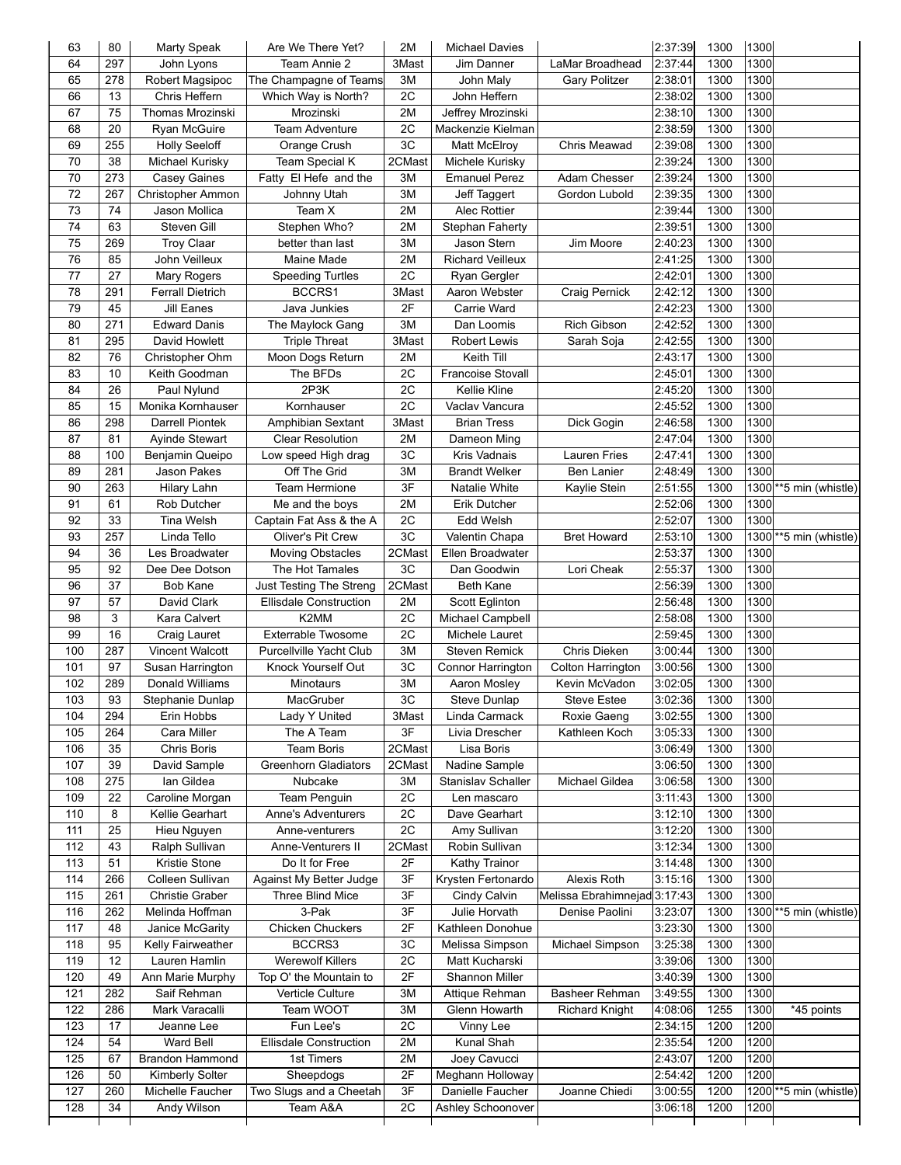| 63  | 80  | Marty Speak             | Are We There Yet?              | 2M     | <b>Michael Davies</b>    |                              | 2:37:39 | 1300 | 1300 |                                      |
|-----|-----|-------------------------|--------------------------------|--------|--------------------------|------------------------------|---------|------|------|--------------------------------------|
| 64  | 297 | John Lyons              | Team Annie 2                   | 3Mast  | Jim Danner               | LaMar Broadhead              | 2:37:44 | 1300 | 1300 |                                      |
| 65  | 278 | Robert Magsipoc         | The Champagne of Teams         | 3M     | John Maly                | <b>Gary Politzer</b>         | 2:38:01 | 1300 | 1300 |                                      |
| 66  | 13  | Chris Heffern           | Which Way is North?            | 2C     | John Heffern             |                              | 2:38:02 | 1300 | 1300 |                                      |
| 67  | 75  | Thomas Mrozinski        | Mrozinski                      | 2M     | Jeffrey Mrozinski        |                              | 2:38:10 | 1300 | 1300 |                                      |
| 68  | 20  | Ryan McGuire            | <b>Team Adventure</b>          | 2C     | Mackenzie Kielman        |                              | 2:38:59 | 1300 | 1300 |                                      |
| 69  | 255 | <b>Holly Seeloff</b>    | Orange Crush                   | 3C     | Matt McElroy             | Chris Meawad                 | 2:39:08 | 1300 | 1300 |                                      |
| 70  | 38  | Michael Kurisky         | Team Special K                 | 2CMast | Michele Kurisky          |                              | 2:39:24 | 1300 | 1300 |                                      |
| 70  | 273 | <b>Casey Gaines</b>     | Fatty El Hefe and the          | 3M     | <b>Emanuel Perez</b>     | Adam Chesser                 | 2:39:24 | 1300 | 1300 |                                      |
| 72  | 267 | Christopher Ammon       | Johnny Utah                    | 3M     | Jeff Taggert             | Gordon Lubold                | 2:39:35 | 1300 | 1300 |                                      |
| 73  | 74  | Jason Mollica           | Team X                         | 2M     | Alec Rottier             |                              | 2:39:44 | 1300 | 1300 |                                      |
| 74  | 63  | Steven Gill             | Stephen Who?                   | 2M     | Stephan Faherty          |                              | 2:39:51 | 1300 | 1300 |                                      |
| 75  | 269 | <b>Troy Claar</b>       | better than last               | 3M     | Jason Stern              | Jim Moore                    | 2:40:23 | 1300 | 1300 |                                      |
| 76  | 85  | John Veilleux           | Maine Made                     | 2M     | <b>Richard Veilleux</b>  |                              | 2:41:25 | 1300 | 1300 |                                      |
| 77  | 27  | Mary Rogers             | <b>Speeding Turtles</b>        | 2C     | Ryan Gergler             |                              | 2:42:01 | 1300 | 1300 |                                      |
| 78  | 291 | <b>Ferrall Dietrich</b> | BCCRS1                         | 3Mast  | Aaron Webster            | Craig Pernick                | 2:42:12 | 1300 | 1300 |                                      |
| 79  | 45  | <b>Jill Eanes</b>       | Java Junkies                   | 2F     | Carrie Ward              |                              | 2:42:23 | 1300 | 1300 |                                      |
| 80  | 271 | Edward Danis            | The Maylock Gang               | 3M     | Dan Loomis               | <b>Rich Gibson</b>           | 2:42:52 | 1300 | 1300 |                                      |
| 81  | 295 | David Howlett           | <b>Triple Threat</b>           | 3Mast  | <b>Robert Lewis</b>      | Sarah Soja                   | 2:42:55 | 1300 | 1300 |                                      |
| 82  | 76  | Christopher Ohm         | Moon Dogs Return               | 2M     | Keith Till               |                              | 2:43:17 | 1300 | 1300 |                                      |
| 83  | 10  | Keith Goodman           | The BFDs                       | 2C     | <b>Francoise Stovall</b> |                              | 2:45:01 | 1300 | 1300 |                                      |
| 84  | 26  | Paul Nylund             | 2P3K                           | 2C     | Kellie Kline             |                              | 2:45:20 | 1300 | 1300 |                                      |
| 85  | 15  | Monika Kornhauser       | Kornhauser                     | 2C     | Vaclav Vancura           |                              | 2:45:52 | 1300 | 1300 |                                      |
| 86  | 298 | <b>Darrell Piontek</b>  | Amphibian Sextant              | 3Mast  | <b>Brian Tress</b>       | Dick Gogin                   | 2:46:58 | 1300 | 1300 |                                      |
| 87  | 81  | Ayinde Stewart          | <b>Clear Resolution</b>        | 2M     | Dameon Ming              |                              | 2:47:04 | 1300 | 1300 |                                      |
| 88  | 100 | Benjamin Queipo         | Low speed High drag            | 3C     | Kris Vadnais             | Lauren Fries                 | 2:47:41 | 1300 | 1300 |                                      |
| 89  | 281 | Jason Pakes             | Off The Grid                   | 3M     | <b>Brandt Welker</b>     | Ben Lanier                   | 2:48:49 | 1300 | 1300 |                                      |
| 90  | 263 | <b>Hilary Lahn</b>      | Team Hermione                  | 3F     | Natalie White            | Kaylie Stein                 | 2:51:55 | 1300 |      | 1300 ** 5 min (whistle)              |
| 91  | 61  | <b>Rob Dutcher</b>      | Me and the boys                | 2M     | Erik Dutcher             |                              | 2:52:06 | 1300 | 1300 |                                      |
| 92  | 33  | <b>Tina Welsh</b>       | Captain Fat Ass & the A        | 2C     | Edd Welsh                |                              | 2:52:07 | 1300 | 1300 |                                      |
| 93  | 257 | Linda Tello             | Oliver's Pit Crew              | 3C     | Valentin Chapa           | <b>Bret Howard</b>           | 2:53:10 | 1300 |      | 1300 ** 5 min (whistle)              |
| 94  | 36  | Les Broadwater          | <b>Moving Obstacles</b>        | 2CMast | Ellen Broadwater         |                              | 2:53:37 | 1300 | 1300 |                                      |
| 95  | 92  | Dee Dee Dotson          | The Hot Tamales                | 3C     | Dan Goodwin              | Lori Cheak                   | 2:55:37 | 1300 | 1300 |                                      |
| 96  | 37  | <b>Bob Kane</b>         | Just Testing The Streng        | 2CMast | Beth Kane                |                              | 2:56:39 | 1300 | 1300 |                                      |
| 97  | 57  | David Clark             | <b>Ellisdale Construction</b>  | 2M     | Scott Eglinton           |                              | 2:56:48 | 1300 | 1300 |                                      |
| 98  | 3   | Kara Calvert            | K2MM                           | 2C     | Michael Campbell         |                              | 2:58:08 | 1300 | 1300 |                                      |
| 99  | 16  | Craig Lauret            | Exterrable Twosome             | 2C     | Michele Lauret           |                              | 2:59:45 | 1300 | 1300 |                                      |
| 100 | 287 | Vincent Walcott         | <b>Purcellville Yacht Club</b> | 3M     | Steven Remick            | Chris Dieken                 | 3:00:44 | 1300 | 1300 |                                      |
| 101 | 97  | Susan Harrington        | Knock Yourself Out             | 3C     | Connor Harrington        | Colton Harrington            | 3:00:56 | 1300 | 1300 |                                      |
| 102 | 289 | Donald Williams         | <b>Minotaurs</b>               | 3M     | Aaron Mosley             | Kevin McVadon                | 3:02:05 | 1300 | 1300 |                                      |
| 103 | 93  | Stephanie Dunlap        | MacGruber                      | 3C     | Steve Dunlap             | <b>Steve Estee</b>           | 3:02:36 | 1300 | 1300 |                                      |
| 104 | 294 | Erin Hobbs              | Lady Y United                  | 3Mast  | Linda Carmack            | Roxie Gaeng                  | 3:02:55 | 1300 | 1300 |                                      |
| 105 | 264 | Cara Miller             | The A Team                     | 3F     | Livia Drescher           | Kathleen Koch                | 3:05:33 | 1300 | 1300 |                                      |
| 106 | 35  | Chris Boris             | Team Boris                     | 2CMast | Lisa Boris               |                              | 3:06:49 | 1300 | 1300 |                                      |
| 107 | 39  | David Sample            | <b>Greenhorn Gladiators</b>    | 2CMast | Nadine Sample            |                              | 3:06:50 | 1300 | 1300 |                                      |
| 108 | 275 | Ian Gildea              | Nubcake                        | 3M     | Stanislav Schaller       | Michael Gildea               | 3:06:58 | 1300 | 1300 |                                      |
| 109 | 22  | Caroline Morgan         | Team Penguin                   | 2C     | Len mascaro              |                              | 3:11:43 | 1300 | 1300 |                                      |
| 110 | 8   | Kellie Gearhart         | <b>Anne's Adventurers</b>      | 2C     | Dave Gearhart            |                              | 3:12:10 | 1300 | 1300 |                                      |
| 111 | 25  | Hieu Nguyen             | Anne-venturers                 | 2C     | Amy Sullivan             |                              | 3:12:20 | 1300 | 1300 |                                      |
| 112 | 43  | Ralph Sullivan          | Anne-Venturers II              | 2CMast | Robin Sullivan           |                              | 3:12:34 | 1300 | 1300 |                                      |
| 113 | 51  | Kristie Stone           | Do It for Free                 | 2F     | Kathy Trainor            |                              | 3:14:48 | 1300 | 1300 |                                      |
| 114 | 266 | Colleen Sullivan        | Against My Better Judge        | 3F     | Krysten Fertonardo       | Alexis Roth                  | 3:15:16 | 1300 | 1300 |                                      |
| 115 | 261 | Christie Graber         | Three Blind Mice               | 3F     | Cindy Calvin             | Melissa Ebrahimnejad 3:17:43 |         | 1300 | 1300 |                                      |
| 116 | 262 | Melinda Hoffman         | 3-Pak                          | 3F     | Julie Horvath            | Denise Paolini               | 3:23:07 | 1300 |      | 1300 ** 5 min (whistle)              |
| 117 | 48  | Janice McGarity         | Chicken Chuckers               | 2F     | Kathleen Donohue         |                              | 3:23:30 | 1300 | 1300 |                                      |
| 118 | 95  | Kelly Fairweather       | BCCRS3                         | 3C     | Melissa Simpson          | Michael Simpson              | 3:25:38 | 1300 | 1300 |                                      |
| 119 | 12  | Lauren Hamlin           | Werewolf Killers               | 2C     | Matt Kucharski           |                              | 3:39:06 | 1300 | 1300 |                                      |
| 120 | 49  | Ann Marie Murphy        | Top O' the Mountain to         | 2F     | Shannon Miller           |                              | 3:40:39 | 1300 | 1300 |                                      |
| 121 | 282 | Saif Rehman             | <b>Verticle Culture</b>        | 3M     | Attique Rehman           | Basheer Rehman               | 3:49:55 | 1300 | 1300 |                                      |
| 122 | 286 | Mark Varacalli          | Team WOOT                      | 3M     | Glenn Howarth            | <b>Richard Knight</b>        | 4:08:06 | 1255 | 1300 | *45 points                           |
| 123 |     |                         |                                |        |                          |                              | 2:34:15 | 1200 | 1200 |                                      |
|     | 17  | Jeanne Lee              | Fun Lee's                      | 2C     | Vinny Lee                |                              |         |      |      |                                      |
| 124 | 54  | Ward Bell               | <b>Ellisdale Construction</b>  | 2M     | Kunal Shah               |                              | 2:35:54 | 1200 | 1200 |                                      |
| 125 | 67  | <b>Brandon Hammond</b>  | 1st Timers                     | 2M     | Joey Cavucci             |                              | 2:43:07 | 1200 | 1200 |                                      |
| 126 | 50  | Kimberly Solter         | Sheepdogs                      | 2F     | Meghann Holloway         |                              | 2:54:42 | 1200 | 1200 |                                      |
| 127 | 260 | Michelle Faucher        | Two Slugs and a Cheetah        | 3F     | Danielle Faucher         | Joanne Chiedi                | 3:00:55 | 1200 |      | $1200$ <sup>**</sup> 5 min (whistle) |
| 128 | 34  | Andy Wilson             | Team A&A                       | 2C     | Ashley Schoonover        |                              | 3:06:18 | 1200 | 1200 |                                      |